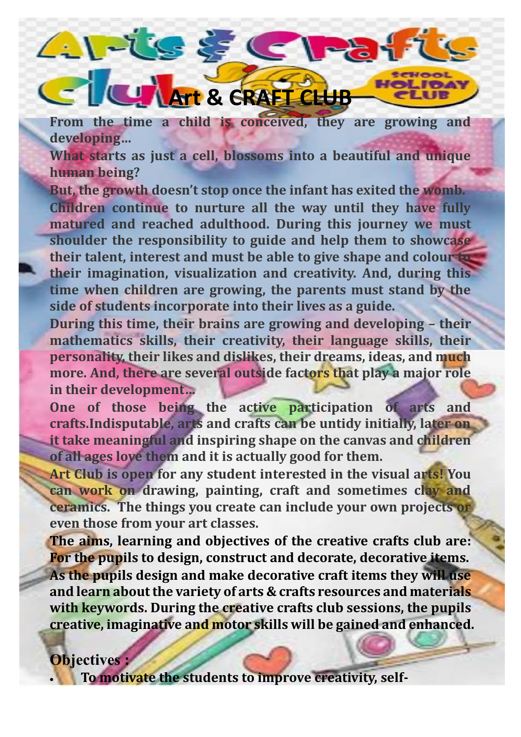## **Art & CRAFT CLUB**

 $21 - 1555$ 

**From the time a child is conceived, they are growing and developing…**

HOLIDAY TIUR

**What starts as just a cell, blossoms into a beautiful and unique human being?**

**But, the growth doesn't stop once the infant has exited the womb. Children continue to nurture all the way until they have fully matured and reached adulthood. During this journey we must shoulder the responsibility to guide and help them to showcase their talent, interest and must be able to give shape and colour to their imagination, visualization and creativity. And, during this time when children are growing, the parents must stand by the side of students incorporate into their lives as a guide.**

**During this time, their brains are growing and developing – their mathematics skills, their creativity, their language skills, their personality, their likes and dislikes, their dreams, ideas, and much more. And, there are several outside factors that play a major role in their development…**

**One of those being the active participation of arts and crafts.Indisputable, arts and crafts can be untidy initially, later on it take meaningful and inspiring shape on the canvas and children of all ages love them and it is actually good for them.**

**Art Club is open for any student interested in the visual arts! You can work on drawing, painting, craft and sometimes clay and ceramics. The things you create can include your own projects or even those from your art classes.**

**The aims, learning and objectives of the creative crafts club are: For the pupils to design, construct and decorate, decorative items. As the pupils design and make decorative craft items they will use and learn about the variety of arts & crafts resources and materials with keywords. During the creative crafts club sessions, the pupils creative, imaginative and motor skills will be gained and enhanced.** 

## **Objectives :**

• **To motivate the students to improve creativity, self-**